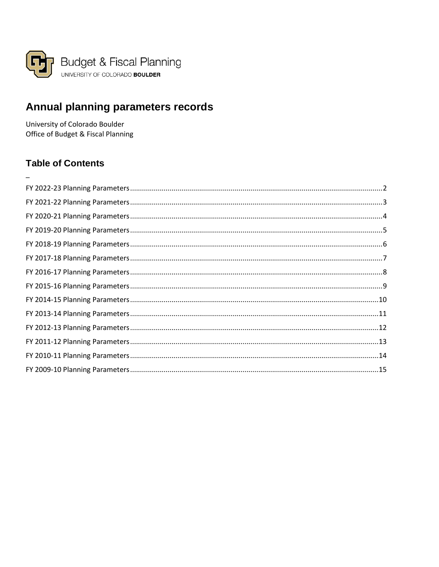<span id="page-0-0"></span>

# Annual planning parameters records

University of Colorado Boulder Office of Budget & Fiscal Planning

# **Table of Contents**

 $\overline{\phantom{0}}$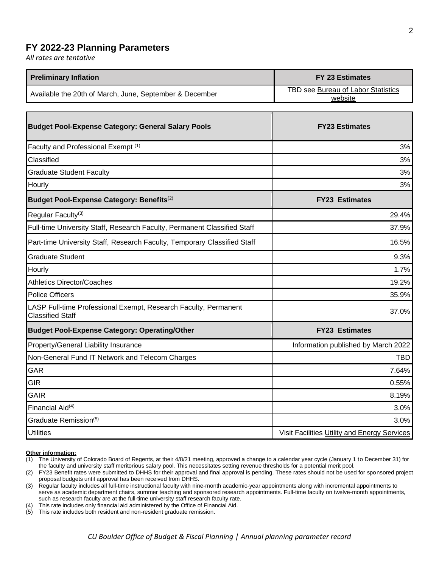### <span id="page-1-0"></span>**FY 2022-23 Planning Parameters**

*All rates are tentative*

| <b>Preliminary Inflation</b>                            | FY 23 Estimates                               |
|---------------------------------------------------------|-----------------------------------------------|
| Available the 20th of March, June, September & December | TBD see Bureau of Labor Statistics<br>website |

| <b>Budget Pool-Expense Category: General Salary Pools</b>                                  | <b>FY23 Estimates</b>                        |
|--------------------------------------------------------------------------------------------|----------------------------------------------|
| Faculty and Professional Exempt (1)                                                        | 3%                                           |
| Classified                                                                                 | 3%                                           |
| <b>Graduate Student Faculty</b>                                                            | 3%                                           |
| Hourly                                                                                     | 3%                                           |
| Budget Pool-Expense Category: Benefits <sup>(2)</sup>                                      | <b>FY23 Estimates</b>                        |
| Regular Faculty <sup>(3)</sup>                                                             | 29.4%                                        |
| Full-time University Staff, Research Faculty, Permanent Classified Staff                   | 37.9%                                        |
| Part-time University Staff, Research Faculty, Temporary Classified Staff                   | 16.5%                                        |
| <b>Graduate Student</b>                                                                    | 9.3%                                         |
| Hourly                                                                                     | 1.7%                                         |
| <b>Athletics Director/Coaches</b>                                                          | 19.2%                                        |
| <b>Police Officers</b>                                                                     | 35.9%                                        |
| LASP Full-time Professional Exempt, Research Faculty, Permanent<br><b>Classified Staff</b> | 37.0%                                        |
| <b>Budget Pool-Expense Category: Operating/Other</b>                                       | <b>FY23 Estimates</b>                        |
| Property/General Liability Insurance                                                       | Information published by March 2022          |
| Non-General Fund IT Network and Telecom Charges                                            | <b>TBD</b>                                   |
| GAR                                                                                        | 7.64%                                        |
| <b>GIR</b>                                                                                 | 0.55%                                        |
| <b>GAIR</b>                                                                                | 8.19%                                        |
| Financial Aid <sup>(4)</sup>                                                               | 3.0%                                         |
| Graduate Remission(5)                                                                      | 3.0%                                         |
| <b>Utilities</b>                                                                           | Visit Facilities Utility and Energy Services |

#### **Other information:**

(2) FY23 Benefit rates were submitted to DHHS for their approval and final approval is pending. These rates should not be used for sponsored project proposal budgets until approval has been received from DHHS.

(3) Regular faculty includes all full-time instructional faculty with nine-month academic-year appointments along with incremental appointments to serve as academic department chairs, summer teaching and sponsored research appointments. Full-time faculty on twelve-month appointments, such as research faculty are at the full-time university staff research faculty rate.

(4) This rate includes only financial aid administered by the Office of Financial Aid.

(5) This rate includes both resident and non-resident graduate remission.

<sup>(1)</sup> The University of Colorado Board of Regents, at their 4/8/21 meeting, approved a change to a calendar year cycle (January 1 to December 31) for the faculty and university staff meritorious salary pool. This necessitates setting revenue thresholds for a potential merit pool.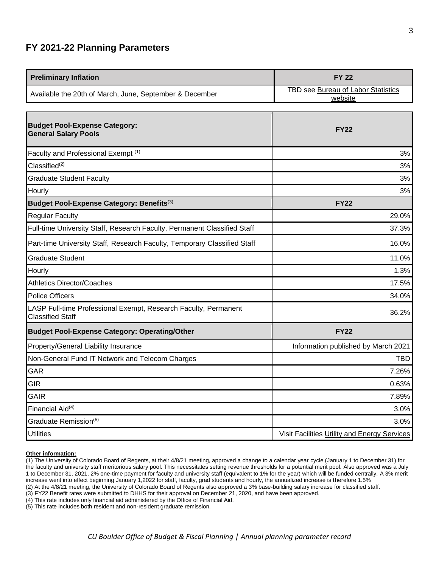## <span id="page-2-0"></span>**FY 2021-22 Planning Parameters**

| <b>Preliminary Inflation</b>                            | <b>FY 22</b>                                  |
|---------------------------------------------------------|-----------------------------------------------|
| Available the 20th of March, June, September & December | TBD see Bureau of Labor Statistics<br>website |

| <b>Budget Pool-Expense Category:</b><br><b>General Salary Pools</b>                        | <b>FY22</b>                                  |
|--------------------------------------------------------------------------------------------|----------------------------------------------|
| Faculty and Professional Exempt (1)                                                        | 3%                                           |
| Classified <sup>(2)</sup>                                                                  | 3%                                           |
| <b>Graduate Student Faculty</b>                                                            | 3%                                           |
| Hourly                                                                                     | 3%                                           |
| Budget Pool-Expense Category: Benefits(3)                                                  | <b>FY22</b>                                  |
| <b>Regular Faculty</b>                                                                     | 29.0%                                        |
| Full-time University Staff, Research Faculty, Permanent Classified Staff                   | 37.3%                                        |
| Part-time University Staff, Research Faculty, Temporary Classified Staff                   | 16.0%                                        |
| <b>Graduate Student</b>                                                                    | 11.0%                                        |
| Hourly                                                                                     | 1.3%                                         |
| <b>Athletics Director/Coaches</b>                                                          | 17.5%                                        |
| <b>Police Officers</b>                                                                     | 34.0%                                        |
| LASP Full-time Professional Exempt, Research Faculty, Permanent<br><b>Classified Staff</b> | 36.2%                                        |
| <b>Budget Pool-Expense Category: Operating/Other</b>                                       | <b>FY22</b>                                  |
| Property/General Liability Insurance                                                       | Information published by March 2021          |
| Non-General Fund IT Network and Telecom Charges                                            | <b>TBD</b>                                   |
| GAR                                                                                        | 7.26%                                        |
| <b>GIR</b>                                                                                 | 0.63%                                        |
| <b>GAIR</b>                                                                                | 7.89%                                        |
| Financial Aid <sup>(4)</sup>                                                               | 3.0%                                         |
| Graduate Remission <sup>(5)</sup>                                                          | 3.0%                                         |
| <b>Utilities</b>                                                                           | Visit Facilities Utility and Energy Services |

#### **Other information:**

(1) The University of Colorado Board of Regents, at their 4/8/21 meeting, approved a change to a calendar year cycle (January 1 to December 31) for the faculty and university staff meritorious salary pool. This necessitates setting revenue thresholds for a potential merit pool. Also approved was a July 1 to December 31, 2021, 2% one-time payment for faculty and university staff (equivalent to 1% for the year) which will be funded centrally. A 3% merit increase went into effect beginning January 1,2022 for staff, faculty, grad students and hourly, the annualized increase is therefore 1.5%

(2) At the 4/8/21 meeting, the University of Colorado Board of Regents also approved a 3% base-building salary increase for classified staff.

(3) FY22 Benefit rates were submitted to DHHS for their approval on December 21, 2020, and have been approved.

(4) This rate includes only financial aid administered by the Office of Financial Aid.

(5) This rate includes both resident and non-resident graduate remission.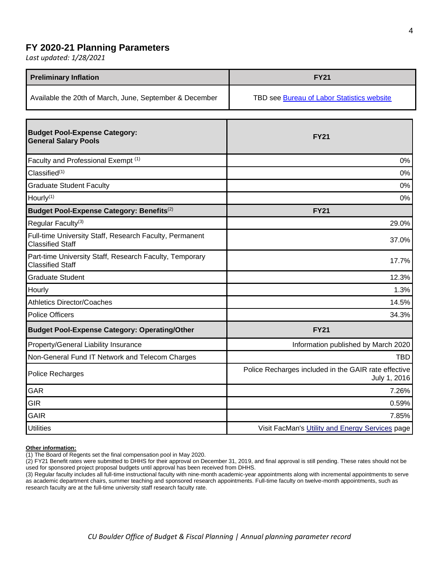### <span id="page-3-0"></span>**FY 2020-21 Planning Parameters**

*Last updated: 1/28/2021*

| <b>Preliminary Inflation</b>                            | <b>FY21</b>                                |
|---------------------------------------------------------|--------------------------------------------|
| Available the 20th of March, June, September & December | TBD see Bureau of Labor Statistics website |

| <b>Budget Pool-Expense Category:</b><br><b>General Salary Pools</b>                | <b>FY21</b>                                                          |
|------------------------------------------------------------------------------------|----------------------------------------------------------------------|
| Faculty and Professional Exempt (1)                                                | 0%                                                                   |
| Classified <sup>(1)</sup>                                                          | 0%                                                                   |
| <b>Graduate Student Faculty</b>                                                    | 0%                                                                   |
| Hourly <sup>(1)</sup>                                                              | 0%                                                                   |
| Budget Pool-Expense Category: Benefits <sup>(2)</sup>                              | <b>FY21</b>                                                          |
| Regular Faculty <sup>(3)</sup>                                                     | 29.0%                                                                |
| Full-time University Staff, Research Faculty, Permanent<br><b>Classified Staff</b> | 37.0%                                                                |
| Part-time University Staff, Research Faculty, Temporary<br><b>Classified Staff</b> | 17.7%                                                                |
| <b>Graduate Student</b>                                                            | 12.3%                                                                |
| Hourly                                                                             | 1.3%                                                                 |
| <b>Athletics Director/Coaches</b>                                                  | 14.5%                                                                |
| <b>Police Officers</b>                                                             | 34.3%                                                                |
| <b>Budget Pool-Expense Category: Operating/Other</b>                               | <b>FY21</b>                                                          |
| Property/General Liability Insurance                                               | Information published by March 2020                                  |
| Non-General Fund IT Network and Telecom Charges                                    | <b>TBD</b>                                                           |
| Police Recharges                                                                   | Police Recharges included in the GAIR rate effective<br>July 1, 2016 |
| GAR                                                                                | 7.26%                                                                |
| <b>GIR</b>                                                                         | 0.59%                                                                |
| <b>GAIR</b>                                                                        | 7.85%                                                                |
| <b>Utilities</b>                                                                   | Visit FacMan's Utility and Energy Services page                      |

### **Other information:**

(1) The Board of Regents set the final compensation pool in May 2020.

(2) FY21 Benefit rates were submitted to DHHS for their approval on December 31, 2019, and final approval is still pending. These rates should not be used for sponsored project proposal budgets until approval has been received from DHHS.

(3) Regular faculty includes all full-time instructional faculty with nine-month academic-year appointments along with incremental appointments to serve as academic department chairs, summer teaching and sponsored research appointments. Full-time faculty on twelve-month appointments, such as research faculty are at the full-time university staff research faculty rate.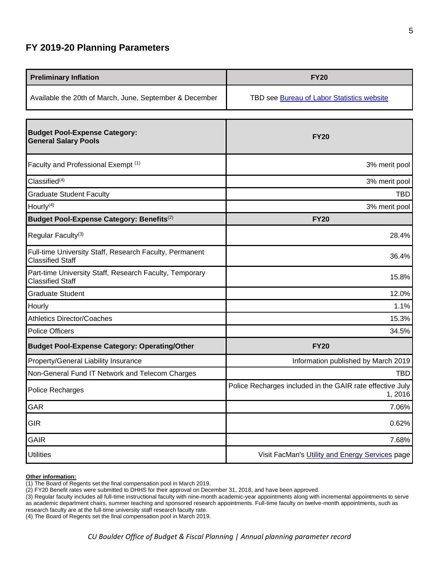# <span id="page-4-0"></span>**FY 2019-20 Planning Parameters**

| <b>Preliminary Inflation</b>                                                       | <b>FY20</b>                                                         |
|------------------------------------------------------------------------------------|---------------------------------------------------------------------|
| Available the 20th of March, June, September & December                            | TBD see Bureau of Labor Statistics website                          |
|                                                                                    |                                                                     |
| <b>Budget Pool-Expense Category:</b><br><b>General Salary Pools</b>                | <b>FY20</b>                                                         |
| Faculty and Professional Exempt (1)                                                | 3% merit pool                                                       |
| Classified <sup>(4)</sup>                                                          | 3% merit pool                                                       |
| <b>Graduate Student Faculty</b>                                                    | <b>TBD</b>                                                          |
| Hourly <sup>(4)</sup>                                                              | 3% merit pool                                                       |
| Budget Pool-Expense Category: Benefits <sup>(2)</sup>                              | <b>FY20</b>                                                         |
| Regular Faculty <sup>(3)</sup>                                                     | 28.4%                                                               |
| Full-time University Staff, Research Faculty, Permanent<br><b>Classified Staff</b> | 36.4%                                                               |
| Part-time University Staff, Research Faculty, Temporary<br><b>Classified Staff</b> | 15.8%                                                               |
| <b>Graduate Student</b>                                                            | 12.0%                                                               |
| Hourly                                                                             | 1.1%                                                                |
| <b>Athletics Director/Coaches</b>                                                  | 15.3%                                                               |
| <b>Police Officers</b>                                                             | 34.5%                                                               |
| <b>Budget Pool-Expense Category: Operating/Other</b>                               | <b>FY20</b>                                                         |
| Property/General Liability Insurance                                               | Information published by March 2019                                 |
| Non-General Fund IT Network and Telecom Charges                                    | <b>TBD</b>                                                          |
| Police Recharges                                                                   | Police Recharges included in the GAIR rate effective July<br>1,2016 |
| GAR                                                                                | 7.06%                                                               |
| <b>GIR</b>                                                                         | 0.62%                                                               |
| <b>GAIR</b>                                                                        | 7.68%                                                               |
| <b>Utilities</b>                                                                   | Visit FacMan's Utility and Energy Services page                     |

### **Other information:**

(1) The Board of Regents set the final compensation pool in March 2019.

(2) FY20 Benefit rates were submitted to DHHS for their approval on December 31, 2018, and have been approved.

(3) Regular faculty includes all full-time instructional faculty with nine-month academic-year appointments along with incremental appointments to serve as academic department chairs, summer teaching and sponsored research appointments. Full-time faculty on twelve-month appointments, such as research faculty are at the full-time university staff research faculty rate.

(4) The Board of Regents set the final compensation pool in March 2019.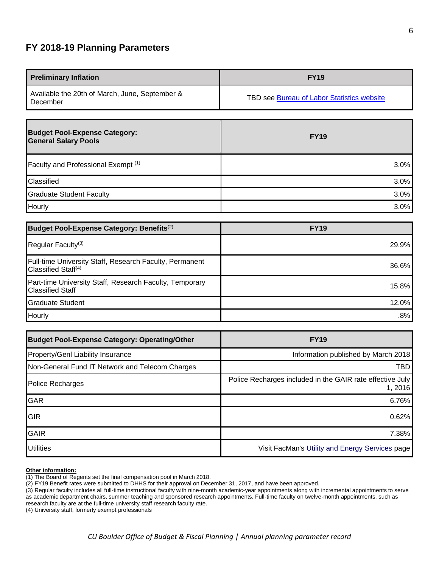# <span id="page-5-0"></span>**FY 2018-19 Planning Parameters**

| <b>Preliminary Inflation</b>                                        | <b>FY19</b>                                |
|---------------------------------------------------------------------|--------------------------------------------|
| Available the 20th of March, June, September &<br>December          | TBD see Bureau of Labor Statistics website |
| <b>Budget Pool-Expense Category:</b><br><b>General Salary Pools</b> | <b>FY19</b>                                |
| Faculty and Professional Exempt (1)                                 | 3.0%                                       |
| Classified                                                          | 3.0%                                       |
| <b>Graduate Student Faculty</b>                                     | 3.0%                                       |
| Hourly                                                              | 3.0%                                       |

| Budget Pool-Expense Category: Benefits <sup>(2)</sup>                                             | <b>FY19</b> |
|---------------------------------------------------------------------------------------------------|-------------|
| Regular Faculty <sup>(3)</sup>                                                                    | $29.9\%$    |
| <b>Full-time University Staff, Research Faculty, Permanent</b><br>Classified Staff <sup>(4)</sup> | $36.6\%$    |
| Part-time University Staff, Research Faculty, Temporary<br><b>Classified Staff</b>                | $15.8\%$    |
| Graduate Student                                                                                  | $12.0\%$    |
| Hourly                                                                                            | $.8\%$      |

| <b>Budget Pool-Expense Category: Operating/Other</b> | <b>FY19</b>                                                         |
|------------------------------------------------------|---------------------------------------------------------------------|
| <b>Property/Genl Liability Insurance</b>             | Information published by March 2018                                 |
| Non-General Fund IT Network and Telecom Charges      | TBD                                                                 |
| Police Recharges                                     | Police Recharges included in the GAIR rate effective July<br>1,2016 |
| <b>GAR</b>                                           | 6.76%                                                               |
| <b>GIR</b>                                           | 0.62%                                                               |
| <b>GAIR</b>                                          | 7.38%                                                               |
| <b>Utilities</b>                                     | Visit FacMan's Utility and Energy Services page                     |

### **Other information:**

(1) The Board of Regents set the final compensation pool in March 2018.

(2) FY19 Benefit rates were submitted to DHHS for their approval on December 31, 2017, and have been approved.

(3) Regular faculty includes all full-time instructional faculty with nine-month academic-year appointments along with incremental appointments to serve as academic department chairs, summer teaching and sponsored research appointments. Full-time faculty on twelve-month appointments, such as research faculty are at the full-time university staff research faculty rate.

(4) University staff, formerly exempt professionals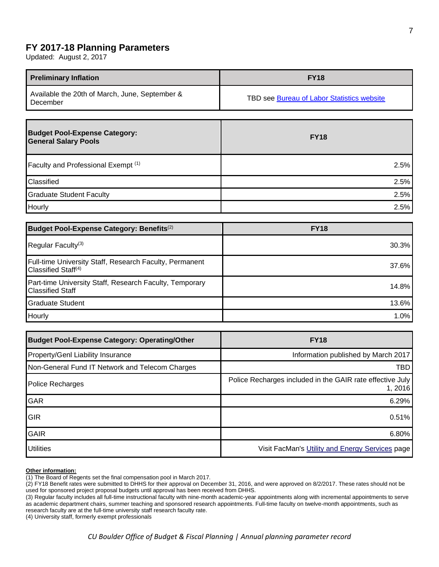### <span id="page-6-0"></span>**FY 2017-18 Planning Parameters**

Updated: August 2, 2017

| <b>Preliminary Inflation</b>                                        | <b>FY18</b>                                |
|---------------------------------------------------------------------|--------------------------------------------|
| Available the 20th of March, June, September &<br>December          | TBD see Bureau of Labor Statistics website |
| <b>Budget Pool-Expense Category:</b><br><b>General Salary Pools</b> | <b>FY18</b>                                |
| Faculty and Professional Exempt (1)                                 | 2.5%                                       |

Classified 2.5% Graduate Student Faculty 2.5% Hourly 2.5%

 ${\sf Regular Faculty}^{(3)} \hspace{2.5cm} 30.3\%$ 

Full-time University Staff, Research Faculty, Permanent Classified Staff(4) 37.6%

Part-time University Staff, Research Faculty, Temporary Classified Staff 14.8%

Graduate Student 13.6% Hourly 1.0%

Property/Genl Liability Insurance Information published by March 2017 Non-General Fund IT Network and Telecom Charges TBD

Police Recharges **Police Recharges** Police Recharges included in the GAIR rate effective July

GAR 6.29%

GIR 0.51%

GAIR 6.80% Utilities **Visit FacMan's [Utility and Energy Services](http://www.colorado.edu/fm/divisions/utility-and-energy-services) page** Visit FacMan's Utility and Energy Services page

**Budget Pool-Expense Category: Benefits**(2) **FY18** 

**Budget Pool-Expense Category: Operating/Other FY18** 

**Other information:** 

(1) The Board of Regents set the final compensation pool in March 2017.

(2) FY18 Benefit rates were submitted to DHHS for their approval on December 31, 2016, and were approved on 8/2/2017. These rates should not be used for sponsored project proposal budgets until approval has been received from DHHS.

(3) Regular faculty includes all full-time instructional faculty with nine-month academic-year appointments along with incremental appointments to serve as academic department chairs, summer teaching and sponsored research appointments. Full-time faculty on twelve-month appointments, such as research faculty are at the full-time university staff research faculty rate.

(4) University staff, formerly exempt professionals

1, 2016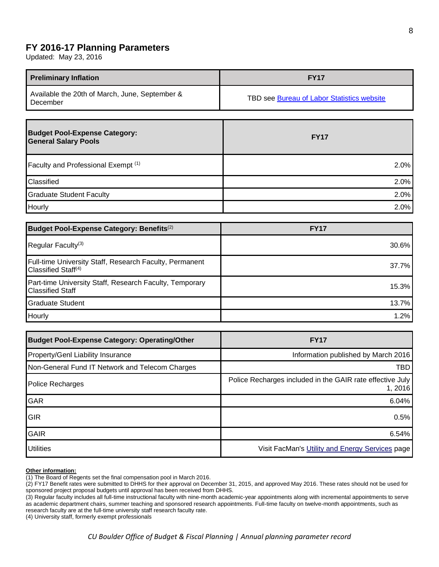### <span id="page-7-0"></span>**FY 2016-17 Planning Parameters**

Updated: May 23, 2016

| <b>Preliminary Inflation</b>                               | <b>FY17</b>                                |
|------------------------------------------------------------|--------------------------------------------|
| Available the 20th of March, June, September &<br>December | TBD see Bureau of Labor Statistics website |

| <b>Budget Pool-Expense Category:</b><br><b>General Salary Pools</b> | <b>FY17</b> |
|---------------------------------------------------------------------|-------------|
| Faculty and Professional Exempt (1)                                 | 2.0%        |
| Classified                                                          | 2.0%        |
| <b>Graduate Student Faculty</b>                                     | 2.0%        |
| Hourly                                                              | 2.0%        |

| Budget Pool-Expense Category: Benefits <sup>(2)</sup>                                             | <b>FY17</b> |
|---------------------------------------------------------------------------------------------------|-------------|
| Regular Faculty <sup>(3)</sup>                                                                    | 30.6%       |
| <b>Full-time University Staff, Research Faculty, Permanent</b><br>Classified Staff <sup>(4)</sup> | 37.7%       |
| Part-time University Staff, Research Faculty, Temporary<br><b>Classified Staff</b>                | 15.3%       |
| <b>Graduate Student</b>                                                                           | 13.7%       |
| Hourly                                                                                            | 1.2%        |

| <b>Budget Pool-Expense Category: Operating/Other</b> | <b>FY17</b>                                                          |
|------------------------------------------------------|----------------------------------------------------------------------|
| <b>Property/Genl Liability Insurance</b>             | Information published by March 2016                                  |
| Non-General Fund IT Network and Telecom Charges      | TBD                                                                  |
| Police Recharges                                     | Police Recharges included in the GAIR rate effective July<br>1, 2016 |
| <b>GAR</b>                                           | 6.04%                                                                |
| <b>GIR</b>                                           | 0.5%                                                                 |
| <b>GAIR</b>                                          | 6.54%                                                                |
| <b>Utilities</b>                                     | Visit FacMan's Utility and Energy Services page                      |

#### **Other information:**

(1) The Board of Regents set the final compensation pool in March 2016.

(2) FY17 Benefit rates were submitted to DHHS for their approval on December 31, 2015, and approved May 2016. These rates should not be used for sponsored project proposal budgets until approval has been received from DHHS.

(3) Regular faculty includes all full-time instructional faculty with nine-month academic-year appointments along with incremental appointments to serve as academic department chairs, summer teaching and sponsored research appointments. Full-time faculty on twelve-month appointments, such as research faculty are at the full-time university staff research faculty rate.

(4) University staff, formerly exempt professionals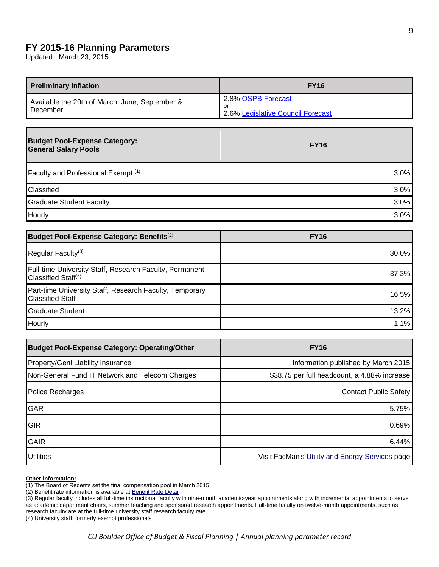### <span id="page-8-0"></span>**FY 2015-16 Planning Parameters**

Updated: March 23, 2015

| <b>Preliminary Inflation</b>                               | <b>FY16</b>                                                    |
|------------------------------------------------------------|----------------------------------------------------------------|
| Available the 20th of March, June, September &<br>December | 2.8% OSPB Forecast<br>-or<br>2.6% Legislative Council Forecast |

| <b>Budget Pool-Expense Category:</b><br><b>General Salary Pools</b> | <b>FY16</b> |
|---------------------------------------------------------------------|-------------|
| Faculty and Professional Exempt (1)                                 | 3.0%        |
| Classified                                                          | 3.0%        |
| <b>Graduate Student Faculty</b>                                     | 3.0%        |
| Hourly                                                              | 3.0%        |

| Budget Pool-Expense Category: Benefits <sup>(2)</sup>                                             | <b>FY16</b> |
|---------------------------------------------------------------------------------------------------|-------------|
| Regular Faculty <sup>(3)</sup>                                                                    | $30.0\%$    |
| <b>Full-time University Staff, Research Faculty, Permanent</b><br>Classified Staff <sup>(4)</sup> | 37.3%       |
| Part-time University Staff, Research Faculty, Temporary<br><b>Classified Staff</b>                | 16.5%       |
| <b>Graduate Student</b>                                                                           | 13.2%       |
| Hourly                                                                                            | 1.1%        |

| <b>Budget Pool-Expense Category: Operating/Other</b> | <b>FY16</b>                                     |
|------------------------------------------------------|-------------------------------------------------|
| <b>Property/Genl Liability Insurance</b>             | Information published by March 2015             |
| Non-General Fund IT Network and Telecom Charges      | \$38.75 per full headcount, a 4.88% increase    |
| Police Recharges                                     | <b>Contact Public Safety</b>                    |
| GAR                                                  | 5.75%                                           |
| <b>GIR</b>                                           | 0.69%                                           |
| <b>GAIR</b>                                          | 6.44%                                           |
| <b>Utilities</b>                                     | Visit FacMan's Utility and Energy Services page |

#### **Other information:**

(1) The Board of Regents set the final compensation pool in March 2015.

(2) Benefit rate information is available at **[Benefit Rate Detail](http://www.colorado.edu/bfp/budget/misctopics/index.html)** 

(3) Regular faculty includes all full-time instructional faculty with nine-month academic-year appointments along with incremental appointments to serve as academic department chairs, summer teaching and sponsored research appointments. Full-time faculty on twelve-month appointments, such as research faculty are at the full-time university staff research faculty rate.

(4) University staff, formerly exempt professionals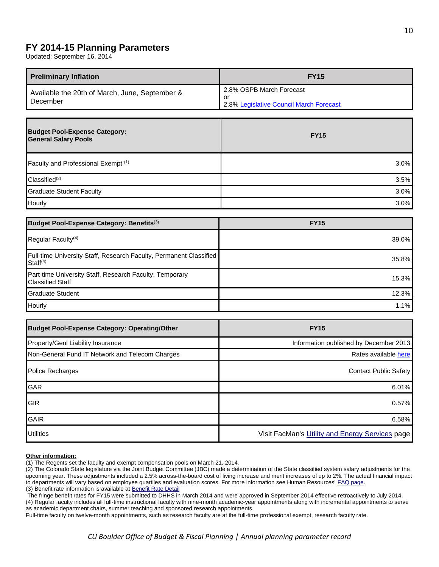## <span id="page-9-0"></span>**FY 2014-15 Planning Parameters**

Updated: September 16, 2014

| <b>Preliminary Inflation</b>                               | <b>FY15</b>                                                               |
|------------------------------------------------------------|---------------------------------------------------------------------------|
| Available the 20th of March, June, September &<br>December | 2.8% OSPB March Forecast<br>or<br>2.8% Legislative Council March Forecast |

| <b>Budget Pool-Expense Category:</b><br><b>General Salary Pools</b> | <b>FY15</b> |
|---------------------------------------------------------------------|-------------|
| Faculty and Professional Exempt (1)                                 | 3.0%        |
| Classified <sup>(2)</sup>                                           | 3.5%        |
| <b>Graduate Student Faculty</b>                                     | 3.0%        |
| Hourly                                                              | 3.0%        |

| <b>Budget Pool-Expense Category: Benefits</b> <sup>(3)</sup>                                      | <b>FY15</b> |
|---------------------------------------------------------------------------------------------------|-------------|
| Regular Faculty <sup>(4)</sup>                                                                    | 39.0%       |
| <b>Full-time University Staff, Research Faculty, Permanent Classified</b><br>Staff <sup>(4)</sup> | 35.8%       |
| Part-time University Staff, Research Faculty, Temporary<br><b>Classified Staff</b>                | 15.3%       |
| Graduate Student                                                                                  | 12.3%       |
| Hourly                                                                                            | 1.1%        |

| <b>Budget Pool-Expense Category: Operating/Other</b> | <b>FY15</b>                                     |
|------------------------------------------------------|-------------------------------------------------|
| Property/Genl Liability Insurance                    | Information published by December 2013          |
| Non-General Fund IT Network and Telecom Charges      | Rates available here                            |
| <b>Police Recharges</b>                              | Contact Public Safety                           |
| GAR                                                  | $6.01\%$                                        |
| <b>GIR</b>                                           | $0.57\%$                                        |
| <b>GAIR</b>                                          | 6.58%                                           |
| <b>Utilities</b>                                     | Visit FacMan's Utility and Energy Services page |

### **Other information:**

(1) The Regents set the faculty and exempt compensation pools on March 21, 2014.

The fringe benefit rates for FY15 were submitted to DHHS in March 2014 and were approved in September 2014 effective retroactively to July 2014. (4) Regular faculty includes all full-time instructional faculty with nine-month academic-year appointments along with incremental appointments to serve as academic department chairs, summer teaching and sponsored research appointments.

<span id="page-9-1"></span>Full-time faculty on twelve-month appointments, such as research faculty are at the full-time professional exempt, research faculty rate.

<sup>(2)</sup> The Colorado State legislature via the Joint Budget Committee (JBC) made a determination of the State classified system salary adjustments for the upcoming year. These adjustments included a 2.5% across-the-board cost of living increase and merit increases of up to 2%. The actual financial impact to departments will vary based on employee quartiles and evaluation scores. For more information see Human Resources' [FAQ page.](http://www.colorado.edu/bfp/budget/planparameters/fy2014-15classifiedmeritfaq.pdf) (3) Benefit rate information is available at [Benefit Rate Detail](http://www.colorado.edu/bfp/budget/misctopics/index.html)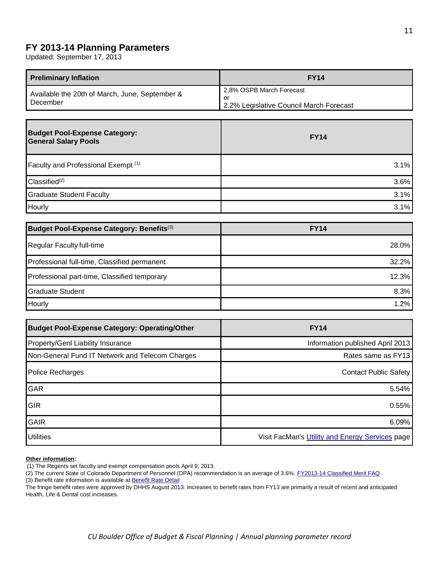# **FY 2013-14 Planning Parameters**

Updated: September 17, 2013

| <b>Preliminary Inflation</b>                               | <b>FY14</b>                                                               |
|------------------------------------------------------------|---------------------------------------------------------------------------|
| Available the 20th of March, June, September &<br>December | 2.8% OSPB March Forecast<br>or<br>2.2% Legislative Council March Forecast |

| <b>Budget Pool-Expense Category:</b><br><b>General Salary Pools</b> | <b>FY14</b> |
|---------------------------------------------------------------------|-------------|
| Faculty and Professional Exempt (1)                                 | 3.1%        |
| Classified <sup>(2)</sup>                                           | 3.6%        |
| <b>Graduate Student Faculty</b>                                     | 3.1%        |
| Hourly                                                              | 3.1%        |

| Budget Pool-Expense Category: Benefits <sup>(3)</sup> | <b>FY14</b> |
|-------------------------------------------------------|-------------|
| Regular Faculty full-time                             | 28.0%       |
| Professional full-time, Classified permanent          | 32.2%       |
| Professional part-time, Classified temporary          | 12.3%       |
| Graduate Student                                      | 8.3%        |
| Hourly                                                | 1.2%        |

| <b>Budget Pool-Expense Category: Operating/Other</b> | <b>FY14</b>                                     |
|------------------------------------------------------|-------------------------------------------------|
| Property/Genl Liability Insurance                    | Information published April 2013                |
| Non-General Fund IT Network and Telecom Charges      | Rates same as FY13                              |
| Police Recharges                                     | <b>Contact Public Safety</b>                    |
| GAR                                                  | 5.54%                                           |
| <b>GIR</b>                                           | 0.55%                                           |
| <b>GAIR</b>                                          | 6.09%                                           |
| <b>Utilities</b>                                     | Visit FacMan's Utility and Energy Services page |

### **Other information:**

(1) The Regents set faculty and exempt compensation pools April 9, 2013.

(2) The current State of Colorado Department of Personnel (DPA) recommendation is an average of 3.6%. [FY2013-14 Classified Merit FAQ](http://hr.colorado.edu/es/Classified/Compensation/Pages/FY2013-14ClassifiedMeritFAQ.aspx) (3) Benefit rate information is available at [Benefit Rate Detail](http://www.colorado.edu/bfp/budget/misctopics/index.html)

The fringe benefit rates were approved by DHHS August 2013. Increases to benefit rates from FY13 are primarily a result of recent and anticipated Health, Life & Dental cost increases.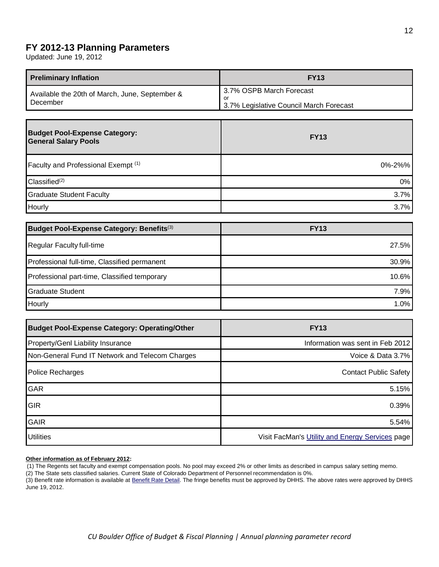# <span id="page-11-0"></span>**FY 2012-13 Planning Parameters**

Updated: June 19, 2012

| <b>Preliminary Inflation</b>                               | <b>FY13</b>                                                                |
|------------------------------------------------------------|----------------------------------------------------------------------------|
| Available the 20th of March, June, September &<br>December | 3.7% OSPB March Forecast<br>-or<br>3.7% Legislative Council March Forecast |

| <b>Budget Pool-Expense Category:</b><br><b>General Salary Pools</b> | <b>FY13</b> |
|---------------------------------------------------------------------|-------------|
| Faculty and Professional Exempt (1)                                 | 0%-2%%      |
| Classified <sup>(2)</sup>                                           | $0\%$       |
| Graduate Student Faculty                                            | 3.7%        |
| Hourly                                                              | 3.7%        |

| Budget Pool-Expense Category: Benefits <sup>(3)</sup> | <b>FY13</b> |
|-------------------------------------------------------|-------------|
| Regular Faculty full-time                             | 27.5%       |
| Professional full-time, Classified permanent          | 30.9%       |
| Professional part-time, Classified temporary          | 10.6%       |
| Graduate Student                                      | 7.9%        |
| Hourly                                                | 1.0%        |

| <b>Budget Pool-Expense Category: Operating/Other</b> | <b>FY13</b>                                     |
|------------------------------------------------------|-------------------------------------------------|
| Property/Genl Liability Insurance                    | Information was sent in Feb 2012                |
| Non-General Fund IT Network and Telecom Charges      | Voice & Data 3.7%                               |
| Police Recharges                                     | <b>Contact Public Safety</b>                    |
| GAR                                                  | 5.15%                                           |
| <b>GIR</b>                                           | 0.39%                                           |
| <b>GAIR</b>                                          | 5.54%                                           |
| <b>Utilities</b>                                     | Visit FacMan's Utility and Energy Services page |

### **Other information as of February 2012:**

(1) The Regents set faculty and exempt compensation pools. No pool may exceed 2% or other limits as described in campus salary setting memo.

(2) The State sets classified salaries. Current State of Colorado Department of Personnel recommendation is 0%.

(3) Benefit rate information is available at [Benefit Rate Detail.](http://www.colorado.edu/bfp/budget/misctopics/index.html) The fringe benefits must be approved by DHHS. The above rates were approved by DHHS June 19, 2012.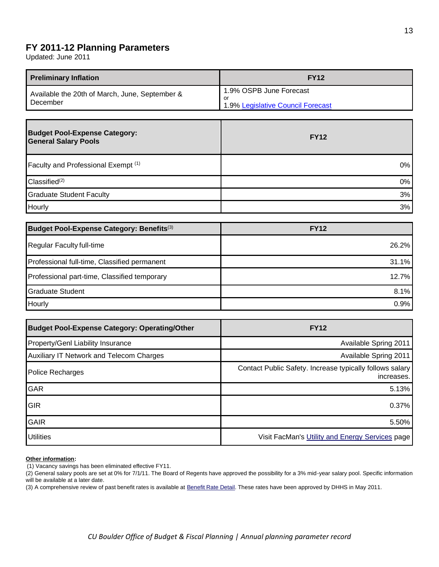# <span id="page-12-0"></span>**FY 2011-12 Planning Parameters**

Updated: June 2011

| <b>Preliminary Inflation</b>                               | <b>FY12</b>                                                        |
|------------------------------------------------------------|--------------------------------------------------------------------|
| Available the 20th of March, June, September &<br>December | 1.9% OSPB June Forecast<br>or<br>1.9% Legislative Council Forecast |

| <b>Budget Pool-Expense Category:</b><br><b>General Salary Pools</b> | <b>FY12</b> |
|---------------------------------------------------------------------|-------------|
| Faculty and Professional Exempt (1)                                 | $0\%$       |
| Classified <sup>(2)</sup>                                           | $0\%$       |
| <b>Graduate Student Faculty</b>                                     | 3%          |
| Hourly                                                              | 3%          |

| Budget Pool-Expense Category: Benefits <sup>(3)</sup> | <b>FY12</b> |
|-------------------------------------------------------|-------------|
| Regular Faculty full-time                             | $26.2\%$    |
| Professional full-time, Classified permanent          | $31.1\%$    |
| Professional part-time, Classified temporary          | 12.7%       |
| Graduate Student                                      | 8.1%        |
| Hourly                                                | 0.9%        |

| <b>Budget Pool-Expense Category: Operating/Other</b> | <b>FY12</b>                                                            |
|------------------------------------------------------|------------------------------------------------------------------------|
| <b>Property/Genl Liability Insurance</b>             | Available Spring 2011                                                  |
| <b>Auxiliary IT Network and Telecom Charges</b>      | Available Spring 2011                                                  |
| Police Recharges                                     | Contact Public Safety. Increase typically follows salary<br>increases. |
| <b>GAR</b>                                           | 5.13%                                                                  |
| <b>GIR</b>                                           | 0.37%                                                                  |
| <b>GAIR</b>                                          | 5.50%                                                                  |
| <b>Utilities</b>                                     | Visit FacMan's Utility and Energy Services page                        |

### **Other information:**

(1) Vacancy savings has been eliminated effective FY11.

(2) General salary pools are set at 0% for 7/1/11. The Board of Regents have approved the possibility for a 3% mid-year salary pool. Specific information will be available at a later date.

(3) A comprehensive review of past benefit rates is available at **Benefit Rate Detail**. These rates have been approved by DHHS in May 2011.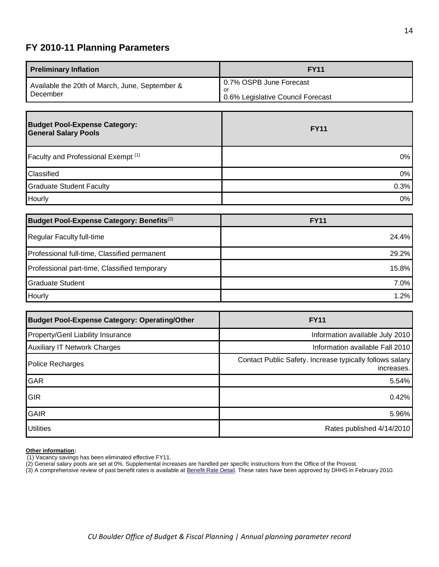# <span id="page-13-0"></span>**FY 2010-11 Planning Parameters**

| Available the 20th of March, June, September &<br>or<br>December | 0.7% OSPB June Forecast<br>0.6% Legislative Council Forecast |
|------------------------------------------------------------------|--------------------------------------------------------------|

| <b>Budget Pool-Expense Category:</b><br><b>General Salary Pools</b> | <b>FY11</b> |
|---------------------------------------------------------------------|-------------|
| Faculty and Professional Exempt (1)                                 | $0\%$       |
| Classified                                                          | $0\%$       |
| <b>Graduate Student Faculty</b>                                     | 0.3%        |
| Hourly                                                              | $0\%$       |

| Budget Pool-Expense Category: Benefits <sup>(2)</sup> | <b>FY11</b> |
|-------------------------------------------------------|-------------|
| Regular Faculty full-time                             | 24.4%       |
| Professional full-time, Classified permanent          | 29.2%       |
| Professional part-time, Classified temporary          | 15.8%       |
| Graduate Student                                      | 7.0%        |
| Hourly                                                | 1.2%        |

| <b>Budget Pool-Expense Category: Operating/Other</b> | <b>FY11</b>                                                            |
|------------------------------------------------------|------------------------------------------------------------------------|
| Property/Genl Liability Insurance                    | Information available July 2010                                        |
| <b>Auxiliary IT Network Charges</b>                  | Information available Fall 2010                                        |
| Police Recharges                                     | Contact Public Safety. Increase typically follows salary<br>increases. |
| <b>GAR</b>                                           | 5.54%                                                                  |
| <b>GIR</b>                                           | 0.42%                                                                  |
| <b>GAIR</b>                                          | 5.96%                                                                  |
| <b>Utilities</b>                                     | Rates published 4/14/2010                                              |

### **Other information:**

- (1) Vacancy savings has been eliminated effective FY11.
- (2) General salary pools are set at 0%. Supplemental increases are handled per specific instructions from the Office of the Provost.
- (3) A comprehensive review of past benefit rates is available a[t Benefit Rate Detail.](http://www.colorado.edu/bfp/budget/misctopics/index.html) These rates have been approved by DHHS in February 2010.